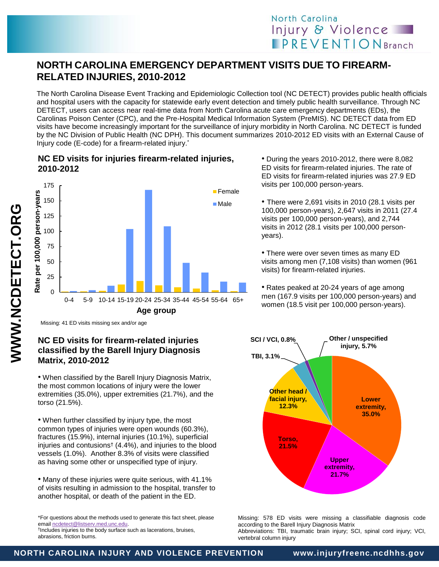# **NORTH CAROLINA EMERGENCY DEPARTMENT VISITS DUE TO FIREARM-RELATED INJURIES, 2010-2012**

The North Carolina Disease Event Tracking and Epidemiologic Collection tool (NC DETECT) provides public health officials and hospital users with the capacity for statewide early event detection and timely public health surveillance. Through NC DETECT, users can access near real-time data from North Carolina acute care emergency departments (EDs), the Carolinas Poison Center (CPC), and the Pre-Hospital Medical Information System (PreMIS). NC DETECT data from ED visits have become increasingly important for the surveillance of injury morbidity in North Carolina. NC DETECT is funded by the NC Division of Public Health (NC DPH). This document summarizes 2010-2012 ED visits with an External Cause of Injury code (E-code) for a firearm-related injury. \*

## **NC ED visits for injuries firearm-related injuries, 2010-2012**



• During the years 2010-2012, there were 8,082 ED visits for firearm-related injuries. The rate of ED visits for firearm-related injuries was 27.9 ED visits per 100,000 person-years.

• There were 2,691 visits in 2010 (28.1 visits per 100,000 person-years), 2,647 visits in 2011 (27.4 visits per 100,000 person-years), and 2,744 visits in 2012 (28.1 visits per 100,000 personyears).

• There were over seven times as many ED visits among men (7,108 visits) than women (961 visits) for firearm-related injuries.

• Rates peaked at 20-24 years of age among men (167.9 visits per 100,000 person-years) and women (18.5 visit per 100,000 person-years).

Missing: 41 ED visits missing sex and/or age

### **NC ED visits for firearm-related injuries classified by the Barell Injury Diagnosis Matrix, 2010-2012**

• When classified by the Barell Injury Diagnosis Matrix, the most common locations of injury were the lower extremities (35.0%), upper extremities (21.7%), and the torso (21.5%).

• When further classified by injury type, the most common types of injuries were open wounds (60.3%), fractures (15.9%), internal injuries (10.1%), superficial injuries and contusions† (4.4%), and injuries to the blood vessels (1.0%). Another 8.3% of visits were classified as having some other or unspecified type of injury.

• Many of these injuries were quite serious, with 41.1% of visits resulting in admission to the hospital, transfer to another hospital, or death of the patient in the ED.

\*For questions about the methods used to generate this fact sheet, please emai[l ncdetect@listserv.med.unc.edu.](mailto:ncdetect@listserv.med.unc.edu) 

† Includes injuries to the body surface such as lacerations, bruises, abrasions, friction burns.



Missing: 578 ED visits were missing a classifiable diagnosis code according to the Barell Injury Diagnosis Matrix Abbreviations: TBI, traumatic brain injury; SCI, spinal cord injury; VCI, vertebral column injury